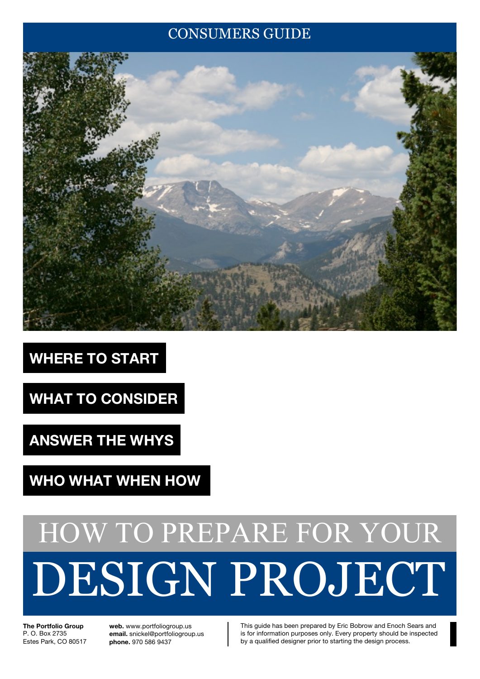## CONSUMERS GUIDE



# **WHERE TO START**

**WHAT TO CONSIDER**

**ANSWER THE WHYS**

**WHO WHAT WHEN HOW**

# DESIGN PROJECT HOW TO PREPARE FOR YOUR

**The Portfolio Group** P. O. Box 2735 Estes Park, CO 80517 **web.** www.portfoliogroup.us **email.** snickel@portfoliogroup.us **phone.** 970 586 9437

This guide has been prepared by Eric Bobrow and Enoch Sears and is for information purposes only. Every property should be inspected by a qualified designer prior to starting the design process.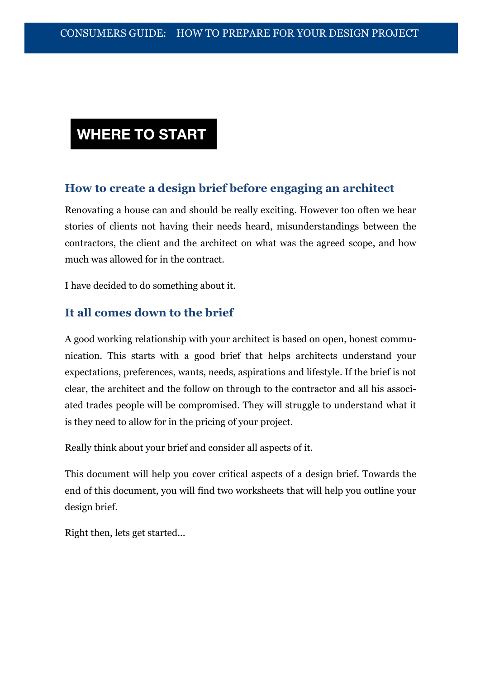## **WHERE TO START**

#### **How to create a design brief before engaging an architect**

Renovating a house can and should be really exciting. However too often we hear stories of clients not having their needs heard, misunderstandings between the contractors, the client and the architect on what was the agreed scope, and how much was allowed for in the contract.

I have decided to do something about it.

#### **It all comes down to the brief**

A good working relationship with your architect is based on open, honest communication. This starts with a good brief that helps architects understand your expectations, preferences, wants, needs, aspirations and lifestyle. If the brief is not clear, the architect and the follow on through to the contractor and all his associated trades people will be compromised. They will struggle to understand what it is they need to allow for in the pricing of your project.

Really think about your brief and consider all aspects of it.

This document will help you cover critical aspects of a design brief. Towards the end of this document, you will find two worksheets that will help you outline your design brief.

Right then, lets get started...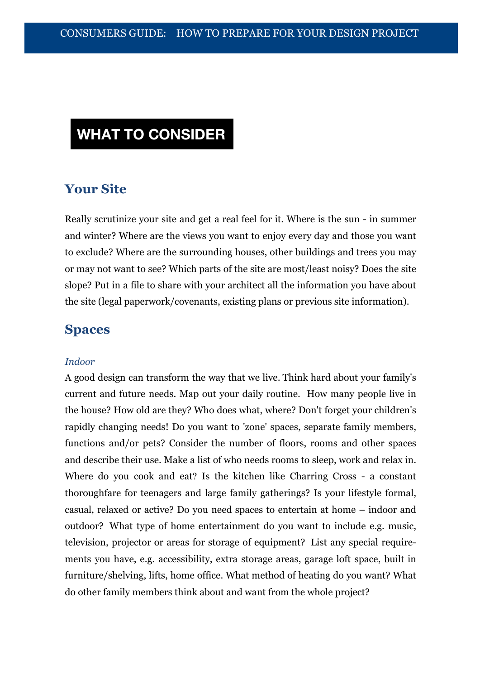#### **Your Site**

Really scrutinize your site and get a real feel for it. Where is the sun - in summer and winter? Where are the views you want to enjoy every day and those you want to exclude? Where are the surrounding houses, other buildings and trees you may or may not want to see? Which parts of the site are most/least noisy? Does the site slope? Put in a file to share with your architect all the information you have about the site (legal paperwork/covenants, existing plans or previous site information).

#### **Spaces**

#### *Indoor*

A good design can transform the way that we live. Think hard about your family's current and future needs. Map out your daily routine. How many people live in the house? How old are they? Who does what, where? Don't forget your children's rapidly changing needs! Do you want to 'zone' spaces, separate family members, functions and/or pets? Consider the number of floors, rooms and other spaces and describe their use. Make a list of who needs rooms to sleep, work and relax in. Where do you cook and eat? Is the kitchen like Charring Cross - a constant thoroughfare for teenagers and large family gatherings? Is your lifestyle formal, casual, relaxed or active? Do you need spaces to entertain at home – indoor and outdoor? What type of home entertainment do you want to include e.g. music, television, projector or areas for storage of equipment? List any special requirements you have, e.g. accessibility, extra storage areas, garage loft space, built in furniture/shelving, lifts, home office. What method of heating do you want? What do other family members think about and want from the whole project?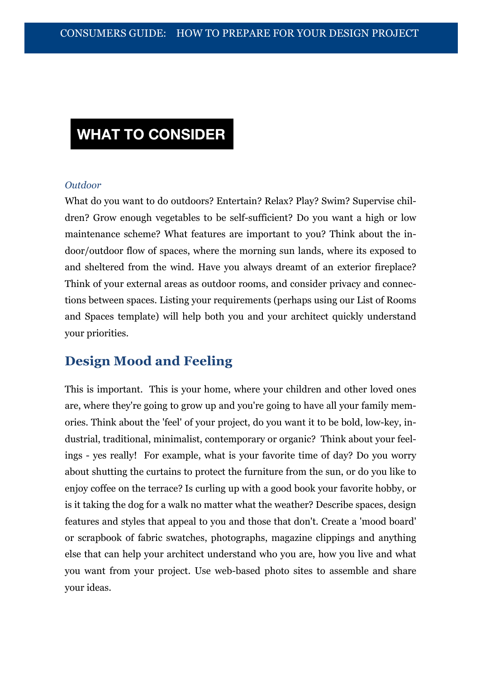#### *Outdoor*

What do you want to do outdoors? Entertain? Relax? Play? Swim? Supervise children? Grow enough vegetables to be self-sufficient? Do you want a high or low maintenance scheme? What features are important to you? Think about the indoor/outdoor flow of spaces, where the morning sun lands, where its exposed to and sheltered from the wind. Have you always dreamt of an exterior fireplace? Think of your external areas as outdoor rooms, and consider privacy and connections between spaces. Listing your requirements (perhaps using our List of Rooms and Spaces template) will help both you and your architect quickly understand your priorities.

#### **Design Mood and Feeling**

This is important. This is your home, where your children and other loved ones are, where they're going to grow up and you're going to have all your family memories. Think about the 'feel' of your project, do you want it to be bold, low-key, industrial, traditional, minimalist, contemporary or organic? Think about your feelings - yes really! For example, what is your favorite time of day? Do you worry about shutting the curtains to protect the furniture from the sun, or do you like to enjoy coffee on the terrace? Is curling up with a good book your favorite hobby, or is it taking the dog for a walk no matter what the weather? Describe spaces, design features and styles that appeal to you and those that don't. Create a 'mood board' or scrapbook of fabric swatches, photographs, magazine clippings and anything else that can help your architect understand who you are, how you live and what you want from your project. Use web-based photo sites to assemble and share your ideas.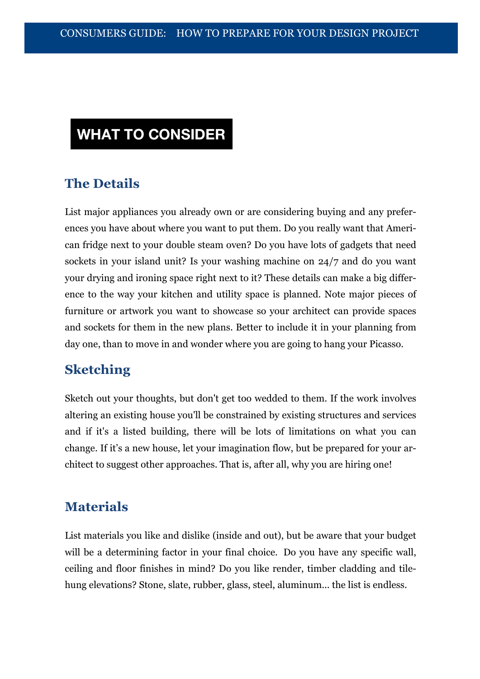#### **The Details**

List major appliances you already own or are considering buying and any preferences you have about where you want to put them. Do you really want that American fridge next to your double steam oven? Do you have lots of gadgets that need sockets in your island unit? Is your washing machine on 24/7 and do you want your drying and ironing space right next to it? These details can make a big difference to the way your kitchen and utility space is planned. Note major pieces of furniture or artwork you want to showcase so your architect can provide spaces and sockets for them in the new plans. Better to include it in your planning from day one, than to move in and wonder where you are going to hang your Picasso.

#### **Sketching**

Sketch out your thoughts, but don't get too wedded to them. If the work involves altering an existing house you'll be constrained by existing structures and services and if it's a listed building, there will be lots of limitations on what you can change. If it's a new house, let your imagination flow, but be prepared for your architect to suggest other approaches. That is, after all, why you are hiring one!

#### **Materials**

List materials you like and dislike (inside and out), but be aware that your budget will be a determining factor in your final choice. Do you have any specific wall, ceiling and floor finishes in mind? Do you like render, timber cladding and tilehung elevations? Stone, slate, rubber, glass, steel, aluminum... the list is endless.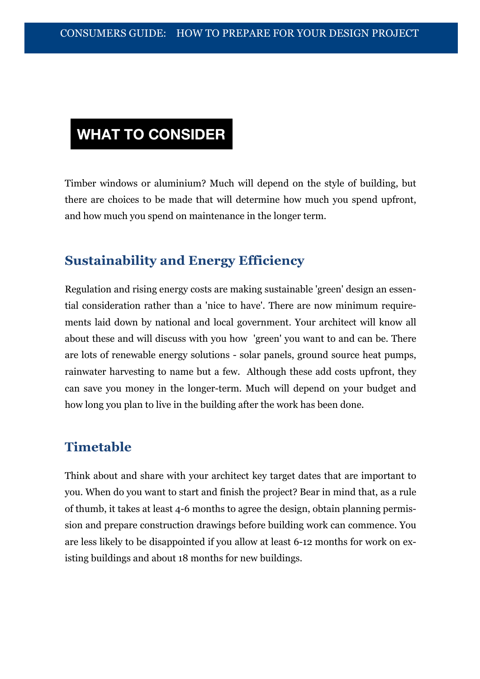Timber windows or aluminium? Much will depend on the style of building, but there are choices to be made that will determine how much you spend upfront, and how much you spend on maintenance in the longer term.

#### **Sustainability and Energy Efficiency**

Regulation and rising energy costs are making sustainable 'green' design an essential consideration rather than a 'nice to have'. There are now minimum requirements laid down by national and local government. Your architect will know all about these and will discuss with you how 'green' you want to and can be. There are lots of renewable energy solutions - solar panels, ground source heat pumps, rainwater harvesting to name but a few. Although these add costs upfront, they can save you money in the longer-term. Much will depend on your budget and how long you plan to live in the building after the work has been done.

#### **Timetable**

Think about and share with your architect key target dates that are important to you. When do you want to start and finish the project? Bear in mind that, as a rule of thumb, it takes at least 4-6 months to agree the design, obtain planning permission and prepare construction drawings before building work can commence. You are less likely to be disappointed if you allow at least 6-12 months for work on existing buildings and about 18 months for new buildings.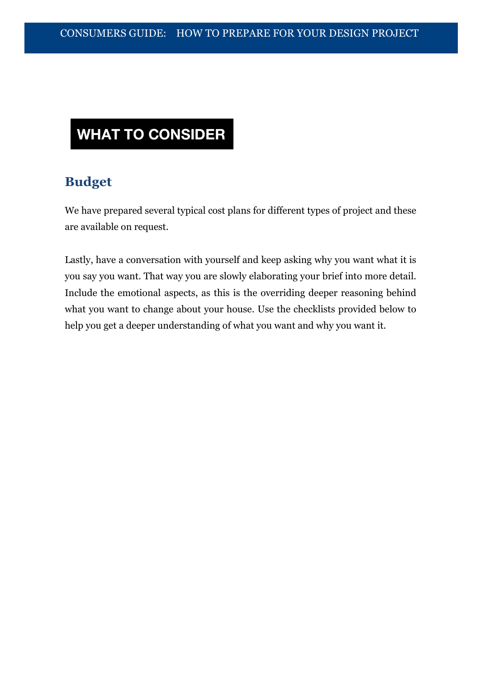#### **Budget**

We have prepared several typical cost plans for different types of project and these are available on request.

Lastly, have a conversation with yourself and keep asking why you want what it is you say you want. That way you are slowly elaborating your brief into more detail. Include the emotional aspects, as this is the overriding deeper reasoning behind what you want to change about your house. Use the checklists provided below to help you get a deeper understanding of what you want and why you want it.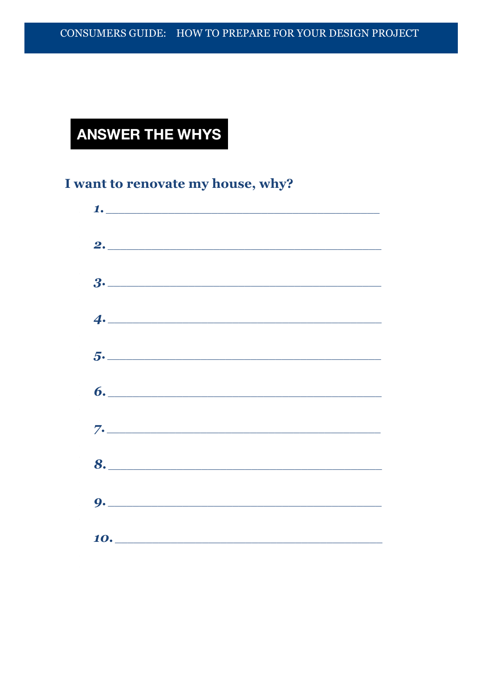## **ANSWER THE WHYS**

### I want to renovate my house, why?